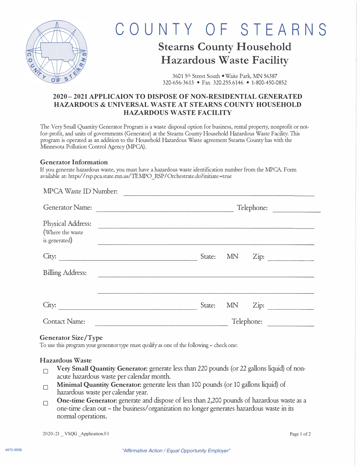

# COUNTY OF STEARNS

## **Stearns County Household Hazardous Waste Facility**

3601 5th Street South • Waite Park, MN 56387 320-656-3613 • Fax 320.255.6146 • 1-800-450-0852

### **2020- 2021 APPLICAION TO DISPOSE OF NON-RESIDENTIAL GENERATED HAZARDOUS & UNIVERSAL WASTE AT STEARNS COUNTY HOUSEHOLD HAZARDOUS WASTE FACILITY**

The Very Small Quantity Generator Program is a waste disposal option for business, rental property, nonprofit or notfor-profit, and units of governments (Generator) at the Stearns County Household Hazardous Waste Facility. This program is operated as an addition to the Household Hazardous Waste agreement Steams County has with the Minnesota Pollution Control Agency (MPCA).

#### Generator Information

If you generate hazardous waste, you must have a hazardous waste identification number from the MPCA. Form available at: https/ *I* rsp.pca.state.mn.us/TE1\1PO \_ RSP *I* Orchestrate.do?initiate =true

| MPCA Waste ID Number:                                  |                             |
|--------------------------------------------------------|-----------------------------|
| Generator Name:                                        | Telephone:                  |
| Physical Address:<br>(Where the waste<br>is generated) |                             |
| City:                                                  | State:<br><b>MN</b><br>Zip: |
| <b>Billing Address:</b>                                |                             |
| City:                                                  | State:<br><b>MN</b><br>Zip: |
| <b>Contact Name:</b>                                   | Telephone:                  |

#### Generator Size/Type

To use this program your generator type must qualify as one of the following - check one:

#### Hazardous Waste

- $\Box$  Very Small Quantity Generator: generate less than 220 pounds (or 22 gallons liquid) of nonacute hazardous waste per calendar month.
- **Minimal Quantity Generator:** generate less than 100 pounds (or 10 gallons liquid) of hazardous waste per calendar year.
- **One-time Generator:** generate and dispose of less than 2,200 pounds of hazardous waste as a one-time clean out - the business/ organization no longer generates hazardous waste in its normal operations.